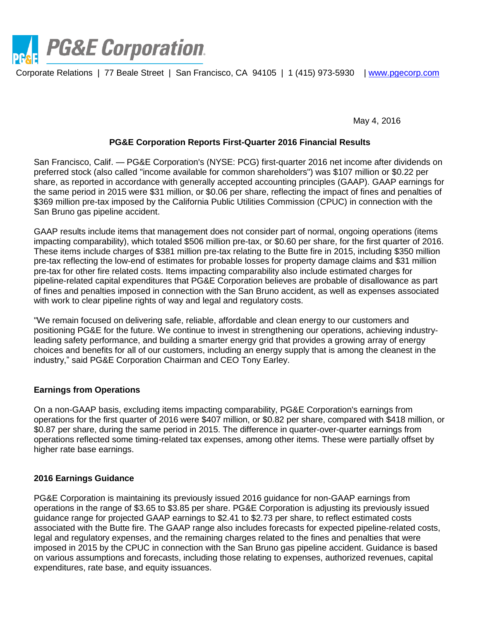

Corporate Relations | 77 Beale Street | San Francisco, CA 94105 | 1 (415) 973-5930 | [www.pgecorp.com](http://www.pgecorp.com/)

May 4, 2016

#### **PG&E Corporation Reports First-Quarter 2016 Financial Results**

San Francisco, Calif. — PG&E Corporation's (NYSE: PCG) first-quarter 2016 net income after dividends on preferred stock (also called "income available for common shareholders") was \$107 million or \$0.22 per share, as reported in accordance with generally accepted accounting principles (GAAP). GAAP earnings for the same period in 2015 were \$31 million, or \$0.06 per share, reflecting the impact of fines and penalties of \$369 million pre-tax imposed by the California Public Utilities Commission (CPUC) in connection with the San Bruno gas pipeline accident.

GAAP results include items that management does not consider part of normal, ongoing operations (items impacting comparability), which totaled \$506 million pre-tax, or \$0.60 per share, for the first quarter of 2016. These items include charges of \$381 million pre-tax relating to the Butte fire in 2015, including \$350 million pre-tax reflecting the low-end of estimates for probable losses for property damage claims and \$31 million pre-tax for other fire related costs. Items impacting comparability also include estimated charges for pipeline-related capital expenditures that PG&E Corporation believes are probable of disallowance as part of fines and penalties imposed in connection with the San Bruno accident, as well as expenses associated with work to clear pipeline rights of way and legal and regulatory costs.

"We remain focused on delivering safe, reliable, affordable and clean energy to our customers and positioning PG&E for the future. We continue to invest in strengthening our operations, achieving industryleading safety performance, and building a smarter energy grid that provides a growing array of energy choices and benefits for all of our customers, including an energy supply that is among the cleanest in the industry," said PG&E Corporation Chairman and CEO Tony Earley.

## **Earnings from Operations**

On a non-GAAP basis, excluding items impacting comparability, PG&E Corporation's earnings from operations for the first quarter of 2016 were \$407 million, or \$0.82 per share, compared with \$418 million, or \$0.87 per share, during the same period in 2015. The difference in quarter-over-quarter earnings from operations reflected some timing-related tax expenses, among other items. These were partially offset by higher rate base earnings.

## **2016 Earnings Guidance**

PG&E Corporation is maintaining its previously issued 2016 guidance for non-GAAP earnings from operations in the range of \$3.65 to \$3.85 per share. PG&E Corporation is adjusting its previously issued guidance range for projected GAAP earnings to \$2.41 to \$2.73 per share, to reflect estimated costs associated with the Butte fire. The GAAP range also includes forecasts for expected pipeline-related costs, legal and regulatory expenses, and the remaining charges related to the fines and penalties that were imposed in 2015 by the CPUC in connection with the San Bruno gas pipeline accident. Guidance is based on various assumptions and forecasts, including those relating to expenses, authorized revenues, capital expenditures, rate base, and equity issuances.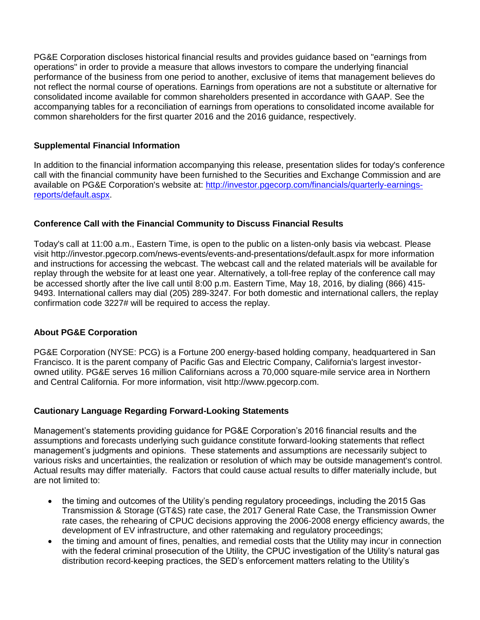PG&E Corporation discloses historical financial results and provides guidance based on "earnings from operations" in order to provide a measure that allows investors to compare the underlying financial performance of the business from one period to another, exclusive of items that management believes do not reflect the normal course of operations. Earnings from operations are not a substitute or alternative for consolidated income available for common shareholders presented in accordance with GAAP. See the accompanying tables for a reconciliation of earnings from operations to consolidated income available for common shareholders for the first quarter 2016 and the 2016 guidance, respectively.

## **Supplemental Financial Information**

In addition to the financial information accompanying this release, presentation slides for today's conference call with the financial community have been furnished to the Securities and Exchange Commission and are available on PG&E Corporation's website at: [http://investor.pgecorp.com/financials/quarterly-earnings](http://investor.pgecorp.com/financials/quarterly-earnings-reports/default.aspx)[reports/default.aspx.](http://investor.pgecorp.com/financials/quarterly-earnings-reports/default.aspx)

## **Conference Call with the Financial Community to Discuss Financial Results**

Today's call at 11:00 a.m., Eastern Time, is open to the public on a listen-only basis via webcast. Please visit<http://investor.pgecorp.com/news-events/events-and-presentations/default.aspx> for more information and instructions for accessing the webcast. The webcast call and the related materials will be available for replay through the website for at least one year. Alternatively, a toll-free replay of the conference call may be accessed shortly after the live call until 8:00 p.m. Eastern Time, May 18, 2016, by dialing (866) 415- 9493. International callers may dial (205) 289-3247. For both domestic and international callers, the replay confirmation code 3227# will be required to access the replay.

# **About PG&E Corporation**

PG&E Corporation (NYSE: PCG) is a Fortune 200 energy-based holding company, headquartered in San Francisco. It is the parent company of Pacific Gas and Electric Company, California's largest investorowned utility. PG&E serves 16 million Californians across a 70,000 square-mile service area in Northern and Central California. For more information, visit [http://www.pgecorp.com.](http://www.pgecorp.com/index.shtml)

## **Cautionary Language Regarding Forward-Looking Statements**

Management's statements providing guidance for PG&E Corporation's 2016 financial results and the assumptions and forecasts underlying such guidance constitute forward-looking statements that reflect management's judgments and opinions. These statements and assumptions are necessarily subject to various risks and uncertainties, the realization or resolution of which may be outside management's control. Actual results may differ materially. Factors that could cause actual results to differ materially include, but are not limited to:

- the timing and outcomes of the Utility's pending regulatory proceedings, including the 2015 Gas Transmission & Storage (GT&S) rate case, the 2017 General Rate Case, the Transmission Owner rate cases, the rehearing of CPUC decisions approving the 2006-2008 energy efficiency awards, the development of EV infrastructure, and other ratemaking and regulatory proceedings;
- the timing and amount of fines, penalties, and remedial costs that the Utility may incur in connection with the federal criminal prosecution of the Utility, the CPUC investigation of the Utility's natural gas distribution record-keeping practices, the SED's enforcement matters relating to the Utility's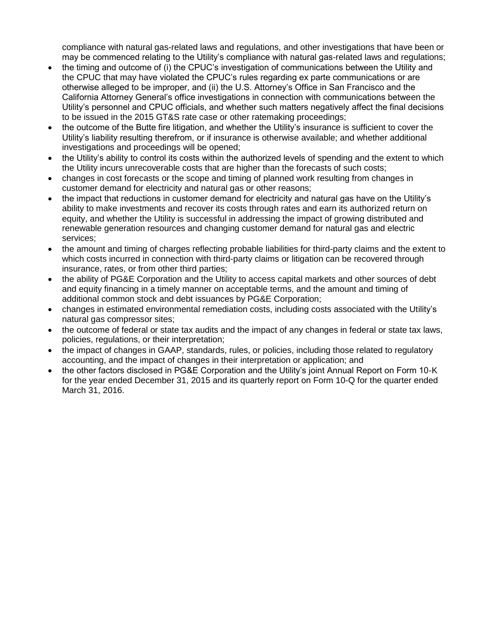compliance with natural gas-related laws and regulations, and other investigations that have been or may be commenced relating to the Utility's compliance with natural gas-related laws and regulations;

- the timing and outcome of (i) the CPUC's investigation of communications between the Utility and the CPUC that may have violated the CPUC's rules regarding ex parte communications or are otherwise alleged to be improper, and (ii) the U.S. Attorney's Office in San Francisco and the California Attorney General's office investigations in connection with communications between the Utility's personnel and CPUC officials, and whether such matters negatively affect the final decisions to be issued in the 2015 GT&S rate case or other ratemaking proceedings;
- the outcome of the Butte fire litigation, and whether the Utility's insurance is sufficient to cover the Utility's liability resulting therefrom, or if insurance is otherwise available; and whether additional investigations and proceedings will be opened;
- the Utility's ability to control its costs within the authorized levels of spending and the extent to which the Utility incurs unrecoverable costs that are higher than the forecasts of such costs;
- changes in cost forecasts or the scope and timing of planned work resulting from changes in customer demand for electricity and natural gas or other reasons;
- the impact that reductions in customer demand for electricity and natural gas have on the Utility's ability to make investments and recover its costs through rates and earn its authorized return on equity, and whether the Utility is successful in addressing the impact of growing distributed and renewable generation resources and changing customer demand for natural gas and electric services;
- the amount and timing of charges reflecting probable liabilities for third-party claims and the extent to which costs incurred in connection with third-party claims or litigation can be recovered through insurance, rates, or from other third parties;
- the ability of PG&E Corporation and the Utility to access capital markets and other sources of debt and equity financing in a timely manner on acceptable terms, and the amount and timing of additional common stock and debt issuances by PG&E Corporation;
- changes in estimated environmental remediation costs, including costs associated with the Utility's natural gas compressor sites;
- the outcome of federal or state tax audits and the impact of any changes in federal or state tax laws, policies, regulations, or their interpretation;
- the impact of changes in GAAP, standards, rules, or policies, including those related to regulatory accounting, and the impact of changes in their interpretation or application; and
- the other factors disclosed in PG&E Corporation and the Utility's joint Annual Report on Form 10-K for the year ended December 31, 2015 and its quarterly report on Form 10-Q for the quarter ended March 31, 2016.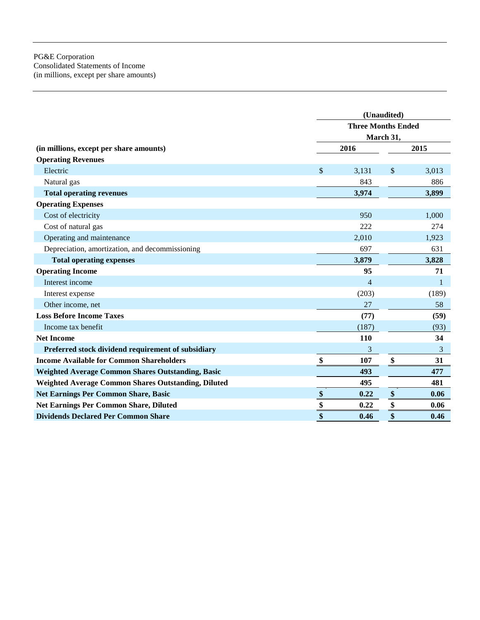#### PG&E Corporation Consolidated Statements of Income (in millions, except per share amounts)

|                                                            | (Unaudited)               |                |                   |       |  |
|------------------------------------------------------------|---------------------------|----------------|-------------------|-------|--|
|                                                            | <b>Three Months Ended</b> |                |                   |       |  |
|                                                            |                           | March 31,      |                   |       |  |
| (in millions, except per share amounts)                    |                           | 2016           |                   | 2015  |  |
| <b>Operating Revenues</b>                                  |                           |                |                   |       |  |
| Electric                                                   | \$                        | 3,131          | $\frac{1}{2}$     | 3,013 |  |
| Natural gas                                                |                           | 843            |                   | 886   |  |
| <b>Total operating revenues</b>                            |                           | 3,974          |                   | 3,899 |  |
| <b>Operating Expenses</b>                                  |                           |                |                   |       |  |
| Cost of electricity                                        |                           | 950            |                   | 1,000 |  |
| Cost of natural gas                                        |                           | 222            |                   | 274   |  |
| Operating and maintenance                                  |                           | 2,010          |                   | 1,923 |  |
| Depreciation, amortization, and decommissioning            |                           | 697            |                   | 631   |  |
| <b>Total operating expenses</b>                            |                           | 3,879          |                   | 3,828 |  |
| <b>Operating Income</b>                                    |                           | 95             |                   | 71    |  |
| Interest income                                            |                           | $\overline{4}$ |                   | 1     |  |
| Interest expense                                           |                           | (203)          |                   | (189) |  |
| Other income, net                                          |                           | 27             |                   | 58    |  |
| <b>Loss Before Income Taxes</b>                            |                           | (77)           |                   | (59)  |  |
| Income tax benefit                                         |                           | (187)          |                   | (93)  |  |
| <b>Net Income</b>                                          |                           | 110            |                   | 34    |  |
| Preferred stock dividend requirement of subsidiary         |                           | 3              |                   | 3     |  |
| <b>Income Available for Common Shareholders</b>            | \$                        | 107            | \$                | 31    |  |
| <b>Weighted Average Common Shares Outstanding, Basic</b>   |                           | 493            |                   | 477   |  |
| <b>Weighted Average Common Shares Outstanding, Diluted</b> |                           | 495            |                   | 481   |  |
| <b>Net Earnings Per Common Share, Basic</b>                | $\boldsymbol{\$}$         | 0.22           | $\boldsymbol{\$}$ | 0.06  |  |
| Net Earnings Per Common Share, Diluted                     | \$                        | 0.22           | \$                | 0.06  |  |
| <b>Dividends Declared Per Common Share</b>                 | \$                        | 0.46           | \$                | 0.46  |  |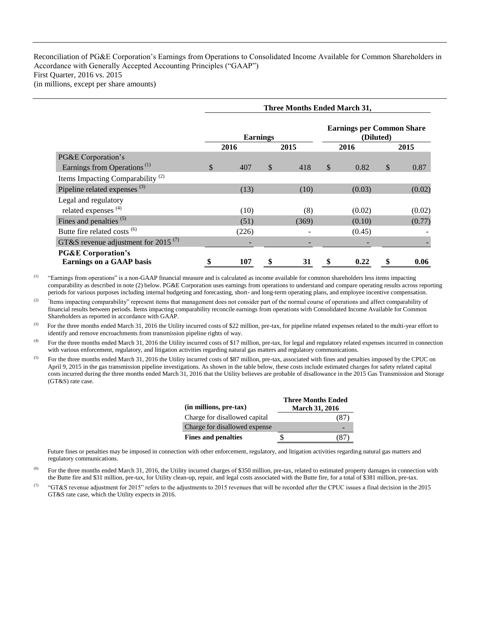Reconciliation of PG&E Corporation's Earnings from Operations to Consolidated Income Available for Common Shareholders in Accordance with Generally Accepted Accounting Principles ("GAAP") First Quarter, 2016 vs. 2015 (in millions, except per share amounts)

|                                                              | <b>Three Months Ended March 31,</b> |       |              |       |                                               |        |    |        |
|--------------------------------------------------------------|-------------------------------------|-------|--------------|-------|-----------------------------------------------|--------|----|--------|
|                                                              | <b>Earnings</b>                     |       |              |       | <b>Earnings per Common Share</b><br>(Diluted) |        |    |        |
|                                                              |                                     | 2016  |              | 2015  |                                               | 2016   |    | 2015   |
| PG&E Corporation's                                           |                                     |       |              |       |                                               |        |    |        |
| Earnings from Operations <sup>(1)</sup>                      | \$                                  | 407   | $\mathbb{S}$ | 418   | \$                                            | 0.82   | \$ | 0.87   |
| Items Impacting Comparability <sup>(2)</sup>                 |                                     |       |              |       |                                               |        |    |        |
| Pipeline related expenses <sup>(3)</sup>                     |                                     | (13)  |              | (10)  |                                               | (0.03) |    | (0.02) |
| Legal and regulatory                                         |                                     |       |              |       |                                               |        |    |        |
| related expenses <sup>(4)</sup>                              |                                     | (10)  |              | (8)   |                                               | (0.02) |    | (0.02) |
| Fines and penalties <sup>(5)</sup>                           |                                     | (51)  |              | (369) |                                               | (0.10) |    | (0.77) |
| Butte fire related costs <sup>(6)</sup>                      |                                     | (226) |              |       |                                               | (0.45) |    |        |
| GT&S revenue adjustment for 2015 <sup><math>(7)</math></sup> |                                     |       |              |       |                                               |        |    |        |
| <b>PG&amp;E Corporation's</b>                                |                                     |       |              |       |                                               |        |    |        |
| <b>Earnings on a GAAP basis</b>                              |                                     | 107   | \$           | 31    | \$                                            | 0.22   | \$ | 0.06   |

<sup>(1)</sup> "Earnings from operations" is a non-GAAP financial measure and is calculated as income available for common shareholders less items impacting comparability as described in note (2) below. PG&E Corporation uses earnings from operations to understand and compare operating results across reporting periods for various purposes including internal budgeting and forecasting, short- and long-term operating plans, and employee incentive compensation.

 $(2)$ Items impacting comparability" represent items that management does not consider part of the normal course of operations and affect comparability of financial results between periods. Items impacting comparability reconcile earnings from operations with Consolidated Income Available for Common Shareholders as reported in accordance with GAAP.

<sup>(3)</sup> For the three months ended March 31, 2016 the Utility incurred costs of \$22 million, pre-tax, for pipeline related expenses related to the multi-year effort to identify and remove encroachments from transmission pipeline rights of way.

(4) For the three months ended March 31, 2016 the Utility incurred costs of \$17 million, pre-tax, for legal and regulatory related expenses incurred in connection with various enforcement, regulatory, and litigation activities regarding natural gas matters and regulatory communications.

<sup>(5)</sup> For the three months ended March 31, 2016 the Utility incurred costs of \$87 million, pre-tax, associated with fines and penalties imposed by the CPUC on April 9, 2015 in the gas transmission pipeline investigations. As shown in the table below, these costs include estimated charges for safety related capital costs incurred during the three months ended March 31, 2016 that the Utility believes are probable of disallowance in the 2015 Gas Transmission and Storage (GT&S) rate case.

| (in millions, pre-tax)        | <b>Three Months Ended</b><br><b>March 31, 2016</b> |     |
|-------------------------------|----------------------------------------------------|-----|
| Charge for disallowed capital |                                                    | (8/ |
| Charge for disallowed expense |                                                    |     |
| <b>Fines and penalties</b>    |                                                    |     |

 Future fines or penalties may be imposed in connection with other enforcement, regulatory, and litigation activities regarding natural gas matters and regulatory communications.

<sup>(6)</sup> For the three months ended March 31, 2016, the Utility incurred charges of \$350 million, pre-tax, related to estimated property damages in connection with the Butte fire and \$31 million, pre-tax, for Utility clean-up, repair, and legal costs associated with the Butte fire, for a total of \$381 million, pre-tax.

<sup>(7)</sup> "GT&S revenue adjustment for 2015" refers to the adjustments to 2015 revenues that will be recorded after the CPUC issues a final decision in the 2015 GT&S rate case, which the Utility expects in 2016.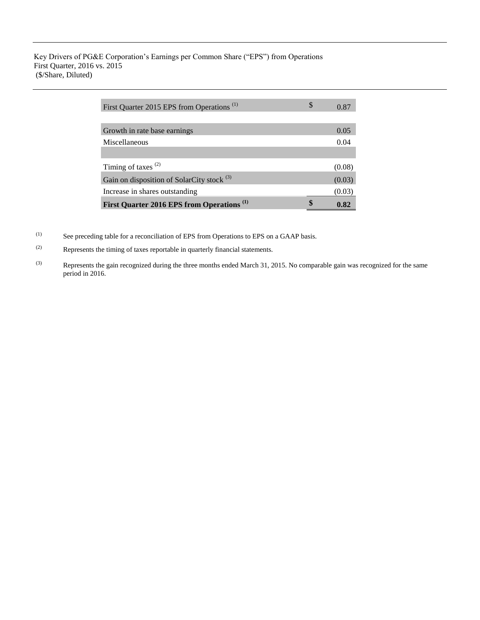Key Drivers of PG&E Corporation's Earnings per Common Share ("EPS") from Operations First Quarter, 2016 vs. 2015 (\$/Share, Diluted)

| First Quarter 2015 EPS from Operations <sup>(1)</sup> | \$<br>0.87 |
|-------------------------------------------------------|------------|
|                                                       |            |
| Growth in rate base earnings                          | 0.05       |
| Miscellaneous                                         | 0.04       |
|                                                       |            |
| Timing of taxes $(2)$                                 | (0.08)     |
| Gain on disposition of SolarCity stock <sup>(3)</sup> | (0.03)     |
| Increase in shares outstanding                        | (0.03)     |
| First Quarter 2016 EPS from Operations <sup>(1)</sup> | 0.82       |

(1) See preceding table for a reconciliation of EPS from Operations to EPS on a GAAP basis.

- (2) Represents the timing of taxes reportable in quarterly financial statements.
- (3) Represents the gain recognized during the three months ended March 31, 2015. No comparable gain was recognized for the same period in 2016.